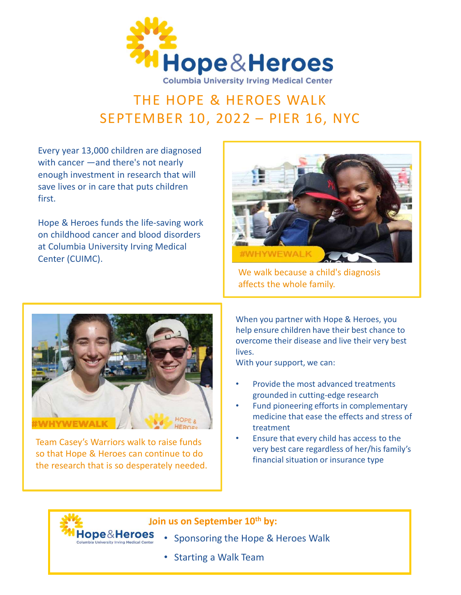

## THE HOPE & HEROES WALK

Every year 13,000 children are diagnosed with cancer —and there's not nearly enough investment in research that will save lives or in care that puts children first.

Hope & Heroes funds the life-saving work on childhood cancer and blood disorders at Columbia University Irving Medical Center (CUIMC).



We walk because a child's diagnosis affects the whole family.



Team Casey's Warriors walk to raise funds so that Hope & Heroes can continue to do the research that is so desperately needed.

Hope&Heroes

When you partner with Hope & Heroes, you help ensure children have their best chance to overcome their disease and live their very best lives.

With your support, we can:

- Provide the most advanced treatments grounded in cutting-edge research
- Fund pioneering efforts in complementary medicine that ease the effects and stress of treatment
- Ensure that every child has access to the very best care regardless of her/his family's financial situation or insurance type

## Join us on September 10<sup>th</sup> by:

- Sponsoring the Hope & Heroes Walk
- Starting a Walk Team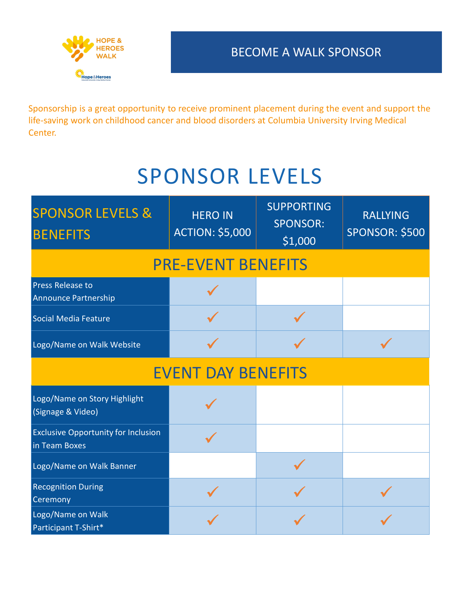

Sponsorship is a great opportunity to receive prominent placement during the event and support the life-saving work on childhood cancer and blood disorders at Columbia University Irving Medical Center.

## SPONSOR LEVELS

| Center.                                                     |                                          |                                                 |                                          |
|-------------------------------------------------------------|------------------------------------------|-------------------------------------------------|------------------------------------------|
|                                                             | <b>SPONSOR LEVELS</b>                    |                                                 |                                          |
| <b>SPONSOR LEVELS &amp;</b><br><b>BENEFITS</b>              | <b>HERO IN</b><br><b>ACTION: \$5,000</b> | <b>SUPPORTING</b><br><b>SPONSOR:</b><br>\$1,000 | <b>RALLYING</b><br><b>SPONSOR: \$500</b> |
|                                                             | <b>PRE-EVENT BENEFITS</b>                |                                                 |                                          |
| <b>Press Release to</b><br>Announce Partnership             |                                          |                                                 |                                          |
| Social Media Feature                                        |                                          |                                                 |                                          |
| Logo/Name on Walk Website                                   |                                          |                                                 |                                          |
|                                                             | <b>EVENT DAY BENEFITS</b>                |                                                 |                                          |
| Logo/Name on Story Highlight<br>(Signage & Video)           |                                          |                                                 |                                          |
| <b>Exclusive Opportunity for Inclusion</b><br>in Team Boxes |                                          |                                                 |                                          |
| Logo/Name on Walk Banner                                    |                                          | $\mathcal{L}$                                   |                                          |
| <b>Recognition During</b><br><b>Ceremony</b>                |                                          |                                                 |                                          |
| Logo/Name on Walk<br>Participant T-Shirt*                   |                                          |                                                 |                                          |